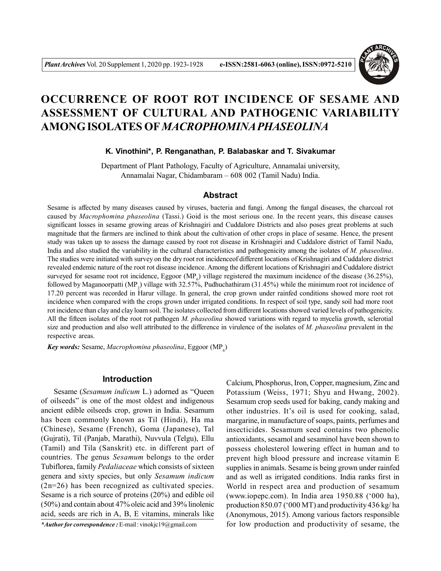

# **OCCURRENCE OF ROOT ROT INCIDENCE OF SESAME AND ASSESSMENT OF CULTURAL AND PATHOGENIC VARIABILITY AMONG ISOLATES OF***MACROPHOMINA PHASEOLINA*

# **K. Vinothini\*, P. Renganathan, P. Balabaskar and T. Sivakumar**

Department of Plant Pathology, Faculty of Agriculture, Annamalai university, Annamalai Nagar, Chidambaram – 608 002 (Tamil Nadu) India.

# **Abstract**

Sesame is affected by many diseases caused by viruses, bacteria and fungi. Among the fungal diseases, the charcoal rot caused by *Macrophomina phaseolina* (Tassi.) Goid is the most serious one. In the recent years, this disease causes significant losses in sesame growing areas of Krishnagiri and Cuddalore Districts and also poses great problems at such magnitude that the farmers are inclined to think about the cultivation of other crops in place of sesame. Hence, the present study was taken up to assess the damage caused by root rot disease in Krishnagiri and Cuddalore district of Tamil Nadu, India and also studied the variability in the cultural characteristics and pathogenicity among the isolates of *M. phaseolina*. The studies were initiated with survey on the dry root rot incidenceof different locations of Krishnagiri and Cuddalore district revealed endemic nature of the root rot disease incidence. Among the different locations of Krishnagiri and Cuddalore district surveyed for sesame root rot incidence, Eggoor (MP<sub>6</sub>) village registered the maximum incidence of the disease (36.25%), followed by Maganoorpatti (MP<sub>2</sub>) village with 32.57%, Pudhuchathiram (31.45%) while the minimum root rot incidence of 17.20 percent was recorded in Harur village. In general, the crop grown under rainfed conditions showed more root rot incidence when compared with the crops grown under irrigated conditions. In respect of soil type, sandy soil had more root rot incidence than clay and clay loam soil. The isolates collected from different locations showed varied levels of pathogenicity. All the fifteen isolates of the root rot pathogen *M. phaseolina* showed variations with regard to mycelia growth, sclerotial size and production and also well attributed to the difference in virulence of the isolates of *M. phaseolina* prevalent in the respective areas.

 $Key$  words: Sesame, *Macrophomina phaseolina*, Eggoor (MP<sub>6</sub>)

## **Introduction**

Sesame (*Sesamum indicum* L.) adorned as "Queen of oilseeds" is one of the most oldest and indigenous ancient edible oilseeds crop, grown in India. Sesamum has been commonly known as Til (Hindi), Ha ma (Chinese), Sesame (French), Goma (Japanese), Tal (Gujrati), Til (Panjab, Marathi), Nuvvula (Telgu), Ellu (Tamil) and Tila (Sanskrit) etc. in different part of countries. The genus *Sesamum* belongs to the order Tubiflorea, family *Pedaliaceae* which consists of sixteen genera and sixty species, but only *Sesamum indicum* (2n=26) has been recognized as cultivated species. Sesame is a rich source of proteins (20%) and edible oil (50%) and contain about 47% oleic acid and 39% linolenic acid, seeds are rich in A, B, E vitamins, minerals like

*\*Author for correspondence :* E-mail : vinokjc19@gmail.com

Calcium, Phosphorus, Iron, Copper, magnesium, Zinc and Potassium (Weiss, 1971; Shyu and Hwang, 2002). Sesamum crop seeds used for baking, candy making and other industries. It's oil is used for cooking, salad, margarine, in manufacture of soaps, paints, perfumes and insecticides. Sesamum seed contains two phenolic antioxidants, sesamol and sesaminol have been shown to possess cholesterol lowering effect in human and to prevent high blood pressure and increase vitamin E supplies in animals. Sesame is being grown under rainfed and as well as irrigated conditions. India ranks first in World in respect area and production of sesamum (www.iopepc.com). In India area 1950.88 ('000 ha), production 850.07 ('000 MT) and productivity 436 kg/ ha (Anonymous, 2015). Among various factors responsible for low production and productivity of sesame, the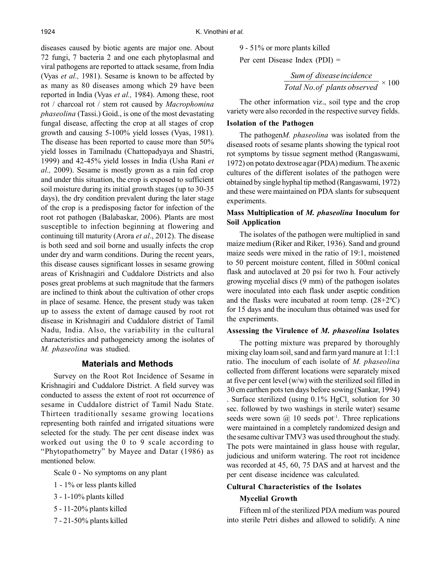diseases caused by biotic agents are major one. About 72 fungi, 7 bacteria 2 and one each phytoplasmal and viral pathogens are reported to attack sesame, from India (Vyas *et al.,* 1981). Sesame is known to be affected by as many as 80 diseases among which 29 have been reported in India (Vyas *et al.,* 1984). Among these, root rot / charcoal rot / stem rot caused by *Macrophomina phaseolina* (Tassi.) Goid., is one of the most devastating fungal disease, affecting the crop at all stages of crop growth and causing 5-100% yield losses (Vyas, 1981). The disease has been reported to cause more than 50% yield losses in Tamilnadu (Chattopadyaya and Shastri, 1999) and 42-45% yield losses in India (Usha Rani *et al.,* 2009). Sesame is mostly grown as a rain fed crop and under this situation, the crop is exposed to sufficient soil moisture during its initial growth stages (up to 30-35 days), the dry condition prevalent during the later stage of the crop is a predisposing factor for infection of the root rot pathogen (Balabaskar, 2006). Plants are most susceptible to infection beginning at flowering and continuing till maturity (Arora *et al*., 2012). The disease is both seed and soil borne and usually infects the crop under dry and warm conditions. During the recent years, this disease causes significant losses in sesame growing areas of Krishnagiri and Cuddalore Districts and also poses great problems at such magnitude that the farmers are inclined to think about the cultivation of other crops in place of sesame. Hence, the present study was taken up to assess the extent of damage caused by root rot disease in Krishnagiri and Cuddalore district of Tamil Nadu, India. Also, the variability in the cultural characteristics and pathogeneicty among the isolates of *M. phaseolina* was studied.

## **Materials and Methods**

Survey on the Root Rot Incidence of Sesame in Krishnagiri and Cuddalore District. A field survey was conducted to assess the extent of root rot occurrence of sesame in Cuddalore district of Tamil Nadu State. Thirteen traditionally sesame growing locations representing both rainfed and irrigated situations were selected for the study. The per cent disease index was worked out using the 0 to 9 scale according to "Phytopathometry" by Mayee and Datar (1986) as mentioned below.

Scale 0 - No symptoms on any plant

- 1 1% or less plants killed
- 3 1-10% plants killed
- 5 11-20% plants killed
- 7 21-50% plants killed

9 - 51% or more plants killed

Per cent Disease Index (PDI) =

*Total No of plants observed Sumof diseaseincidence* . × 100

The other information viz., soil type and the crop variety were also recorded in the respective survey fields.

# **Isolation of the Pathogen**

The pathogen*M. phaseolina* was isolated from the diseased roots of sesame plants showing the typical root rot symptoms by tissue segment method (Rangaswami, 1972) on potato dextrose agar (PDA) medium. The axenic cultures of the different isolates of the pathogen were obtained by single hyphal tip method (Rangaswami, 1972) and these were maintained on PDA slants for subsequent experiments.

# **Mass Multiplication of** *M. phaseolina* **Inoculum for Soil Application**

The isolates of the pathogen were multiplied in sand maize medium (Riker and Riker, 1936). Sand and ground maize seeds were mixed in the ratio of 19:1, moistened to 50 percent moisture content, filled in 500ml conical flask and autoclaved at 20 psi for two h. Four actively growing mycelial discs (9 mm) of the pathogen isolates were inoculated into each flask under aseptic condition and the flasks were incubated at room temp.  $(28+2°C)$ for 15 days and the inoculum thus obtained was used for the experiments.

## **Assessing the Virulence of** *M. phaseolina* **Isolates**

The potting mixture was prepared by thoroughly mixing clay loam soil, sand and farm yard manure at 1:1:1 ratio. The inoculum of each isolate of *M. phaseolina* collected from different locations were separately mixed at five per cent level (w/w) with the sterilized soil filled in 30 cm earthen pots ten days before sowing (Sankar, 1994) . Surface sterilized (using  $0.1\%$  HgCl<sub>2</sub> solution for 30 sec. followed by two washings in sterile water) sesame seeds were sown  $\omega$  10 seeds pot<sup>-1</sup>. Three replications were maintained in a completely randomized design and the sesame cultivar TMV3 was used throughout the study. The pots were maintained in glass house with regular, judicious and uniform watering. The root rot incidence was recorded at 45, 60, 75 DAS and at harvest and the per cent disease incidence was calculated.

# **Cultural Characteristics of the Isolates**

# **Mycelial Growth**

Fifteen ml of the sterilized PDA medium was poured into sterile Petri dishes and allowed to solidify. A nine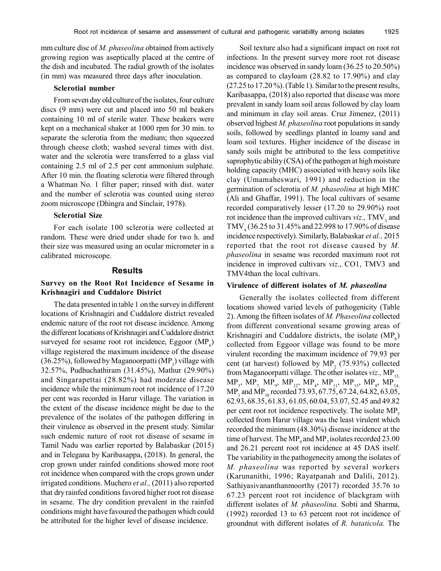mm culture disc of *M. phaseolina* obtained from actively growing region was aseptically placed at the centre of the dish and incubated. The radial growth of the isolates (in mm) was measured three days after inoculation.

## **Sclerotial number**

From seven day old culture of the isolates, four culture discs (9 mm) were cut and placed into 50 ml beakers containing 10 ml of sterile water. These beakers were kept on a mechanical shaker at 1000 rpm for 30 min. to separate the sclerotia from the medium; then squeezed through cheese cloth; washed several times with dist. water and the sclerotia were transferred to a glass vial containing 2.5 ml of 2.5 per cent ammonium sulphate. After 10 min. the floating sclerotia were filtered through a Whatman No. 1 filter paper; rinsed with dist. water and the number of sclerotia was counted using stereo zoom microscope (Dhingra and Sinclair, 1978).

#### **Sclerotial Size**

For each isolate 100 sclerotia were collected at random. These were dried under shade for two h. and their size was measured using an ocular micrometer in a calibrated microscope.

## **Results**

# **Survey on the Root Rot Incidence of Sesame in Krishnagiri and Cuddalore District**

The data presented in table 1 on the survey in different locations of Krishnagiri and Cuddalore district revealed endemic nature of the root rot disease incidence. Among the different locations of Krishnagiri and Cuddalore district surveyed for sesame root rot incidence, Eggoor  $(MP_6)$ village registered the maximum incidence of the disease (36.25%), followed by Maganoorpatti (MP<sub>2</sub>) village with 32.57%, Pudhuchathiram (31.45%), Mathur (29.90%) and Singarapettai (28.82%) had moderate disease incidence while the minimum root rot incidence of 17.20 per cent was recorded in Harur village. The variation in the extent of the disease incidence might be due to the prevalence of the isolates of the pathogen differing in their virulence as observed in the present study. Similar such endemic nature of root rot disease of sesame in Tamil Nadu was earlier reported by Balabaskar (2015) and in Telegana by Karibasappa, (2018). In general, the crop grown under rainfed conditions showed more root rot incidence when compared with the crops grown under irrigated conditions. Muchero *et al.,* (2011) also reported that dry rainfed conditions favored higher root rot disease in sesame. The dry condition prevalent in the rainfed conditions might have favoured the pathogen which could be attributed for the higher level of disease incidence.

Soil texture also had a significant impact on root rot infections. In the present survey more root rot disease incidence was observed in sandy loam (36.25 to 20.50%) as compared to clayloam (28.82 to 17.90%) and clay (27.25 to 17.20 %). (Table 1). Similar to the present results, Karibasappa, (2018) also reported that disease was more prevalent in sandy loam soil areas followed by clay loam and minimum in clay soil areas. Cruz Jimenez, (2011) observed highest *M. phaseolina* root populations in sandy soils, followed by seedlings planted in loamy sand and loam soil textures. Higher incidence of the disease in sandy soils might be attributed to the less competitive saprophytic ability (CSA) of the pathogen at high moisture holding capacity (MHC) associated with heavy soils like clay (Umamaheswari, 1991) and reduction in the germination of sclerotia of *M. phaseolina* at high MHC (Ali and Ghaffar, 1991). The local cultivars of sesame recorded comparatively lesser (17.20 to 29.90%) root rot incidence than the improved cultivars *viz.*, TMV<sub>3</sub> and TMV<sub>4</sub> (36.25 to 31.45% and 22.998 to 17.90% of disease incidence respectively). Similarly, Balabaskar *et al.,* 2015 reported that the root rot disease caused by *M. phaseolina* in sesame was recorded maximum root rot incidence in improved cultivars *viz*., CO1, TMV3 and TMV4than the local cultivars.

## **Virulence of different isolates of** *M. phaseolina*

Generally the isolates collected from different locations showed varied levels of pathogenicity (Table 2). Among the fifteen isolates of *M. Phaseolina* collected from different conventional sesame growing areas of Krishnagiri and Cuddalore districts, the isolate  $(MP_6)$ collected from Eggoor village was found to be more virulent recording the maximum incidence of 79.93 per cent (at harvest) followed by  $MP_2$  (75.93%) collected from Maganoorpatti village. The other isolates *viz.*, MP<sub>13</sub>,  $\text{MP}_3, \text{ MP}_7, \text{ MP}_9, \text{ MP}_{12}, \text{ MP}_4, \text{ MP}_{11}, \text{ MP}_{15}, \text{ MP}_8, \text{ MP}_{14},$  $MP_1$  and  $MP_{10}$  recorded 73.93, 67.75, 67.24, 64.82, 63.05, 62.93, 68.35, 61.83, 61.05, 60.04, 53.07, 52.45 and 49.82 per cent root rot incidence respectively. The isolate  $MP_5$ collected from Harur village was the least virulent which recorded the minimum (48.30%) disease incidence at the time of harvest. The MP<sub>9</sub> and MP<sub>7</sub> isolates recorded 23.00 and 26.21 percent root rot incidence at 45 DAS itself. The variability in the pathogenecity among the isolates of *M. phaseolina* was reported by several workers (Karunanithi, 1996; Rayatpanah and Dalili, 2012). Sathiyasivananthanmoorthy (2017) recorded 35.76 to 67.23 percent root rot incidence of blackgram with different isolates of *M. phaseolina.* Sobti and Sharma, (1992) recorded 13 to 63 percent root rot incidence of groundnut with different isolates of *R. bataticola.* The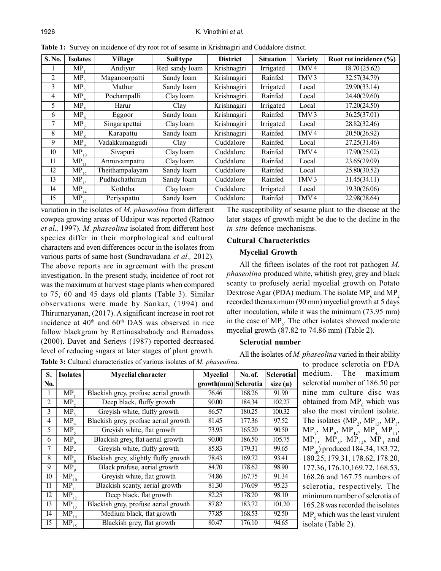| S. No. | <b>Isolates</b> | Village         | Soil type      | <b>District</b> | <b>Situation</b> | <b>Variety</b>   | Root rot incidence (%) |
|--------|-----------------|-----------------|----------------|-----------------|------------------|------------------|------------------------|
|        | <b>MP</b>       | Andiyur         | Red sandy loam | Krishnagiri     | Irrigated        | TMV <sub>4</sub> | 18.70 (25.62)          |
| 2      | MP <sub>2</sub> | Maganoorpatti   | Sandy loam     | Krishnagiri     | Rainfed          | TMV <sub>3</sub> | 32.57(34.79)           |
| 3      | MP <sub>2</sub> | Mathur          | Sandy loam     | Krishnagiri     | Irrigated        | Local            | 29.90(33.14)           |
| 4      | $MP_4$          | Pochampalli     | Clay loam      | Krishnagiri     | Rainfed          | Local            | 24.40(29.60)           |
| 5      | MP <sub>s</sub> | Harur           | Clay           | Krishnagiri     | Irrigated        | Local            | 17.20(24.50)           |
| 6      | $MP_6$          | Eggoor          | Sandy loam     | Krishnagiri     | Rainfed          | TMV <sub>3</sub> | 36.25(37.01)           |
| 7      | MP <sub>7</sub> | Singarapettai   | Clay loam      | Krishnagiri     | Irrigated        | Local            | 28.82(32.46)           |
| 8      | $MP_8$          | Karapattu       | Sandy loam     | Krishnagiri     | Rainfed          | TMV <sub>4</sub> | 20.50(26.92)           |
| 9      | MP <sub>q</sub> | Vadakkumangudi  | Clay           | Cuddalore       | Rainfed          | Local            | 27.25(31.46)           |
| 10     | $MP_{10}$       | Sivapuri        | Clay loam      | Cuddalore       | Rainfed          | TMV <sub>4</sub> | 17.90(25.02)           |
| 11     | $MP_{11}$       | Annuvampattu    | Clay loam      | Cuddalore       | Rainfed          | Local            | 23.65(29.09)           |
| 12     | $MP_{12}$       | Theithampalayam | Sandy loam     | Cuddalore       | Rainfed          | Local            | 25.80(30.52)           |
| 13     | $MP_{13}$       | Pudhuchathiram  | Sandy loam     | Cuddalore       | Rainfed          | TMV <sub>3</sub> | 31.45(34.11)           |
| 14     | $MP_{14}$       | Koththa         | Clay loam      | Cuddalore       | Irrigated        | Local            | 19.30(26.06)           |
| 15     | $MP_{15}$       | Periyapattu     | Sandy loam     | Cuddalore       | Rainfed          | TMV <sub>4</sub> | 22.98(28.64)           |

**Table 1:** Survey on incidence of dry root rot of sesame in Krishnagiri and Cuddalore district.

variation in the isolates of *M. phaseolina* from different cowpea growing areas of Udaipur was reported (Ratnoo *et al.,* 1997). *M. phaseolina* isolated from different host species differ in their morphological and cultural characters and even differences occur in the isolates from various parts of same host (Sundravadana *et al.,* 2012). The above reports are in agreement with the present investigation. In the present study, incidence of root rot was the maximum at harvest stage plants when compared to 75, 60 and 45 days old plants (Table 3). Similar observations were made by Sankar, (1994) and Thirurnaryanan, (2017). A significant increase in root rot incidence at  $40<sup>th</sup>$  and  $60<sup>th</sup>$  DAS was observed in rice fallow blackgram by Rettinasababady and Ramadoss (2000). Davet and Serieys (1987) reported decreased level of reducing sugars at later stages of plant growth.

The susceptibility of sesame plant to the disease at the later stages of growth might be due to the decline in the *in situ* defence mechanisms.

## **Cultural Characteristics**

#### **Mycelial Growth**

All the fifteen isolates of the root rot pathogen *M. phaseolina* produced white, whitish grey, grey and black scanty to profusely aerial mycelial growth on Potato Dextrose Agar (PDA) medium. The isolate  $MP_6$  and  $MP_2$ recorded themaximum (90 mm) mycelial growth at 5 days after inoculation, while it was the minimum (73.95 mm) in the case of  $MP<sub>5</sub>$ . The other isolates showed moderate mycelial growth (87.82 to 74.86 mm) (Table 2).

# **Sclerotial number**

All the isolates of *M. phaseolina* varied in their ability

| S.              | <b>Isolates</b>                         | <b>Mycelial character</b>             | <b>Mycelial</b>      | No. of. | <b>Sclerotial</b> |
|-----------------|-----------------------------------------|---------------------------------------|----------------------|---------|-------------------|
| No.             |                                         |                                       | growth(mm) Sclerotia |         | size $(\mu)$      |
| 1               | MP.                                     | Blackish grey, profuse aerial growth  | 76.46                | 168.26  | 91.90             |
| $\overline{2}$  | MP <sub>2</sub>                         | Deep black, fluffy growth             | 90.00                | 184.34  | 102.27            |
| 3               | MP <sub>3</sub>                         | Greyish white, fluffy growth          | 86.57                | 180.25  | 100.32            |
| 4               | MP                                      | Blackish grey, profuse aerial growth  | 81.45                | 177.36  | 97.52             |
| 5               | $\overline{MP}_5$                       | Greyish white, flat growth            | 73.95                | 165.20  | 90.50             |
| 6               | $MP_6$                                  | Blackish grey, flat aerial growth     | 90.00                | 186.50  | 105.75            |
| 7               | $\overline{\text{MP}}_7$                | Greyish white, fluffy growth          | 85.83                | 179.31  | 99.65             |
| 8               | $\overline{\text{MP}}_8$                | Blackish grey, slightly fluffy growth | 78.43                | 169.72  | 93.41             |
| 9               | MP <sub>o</sub>                         | Black profuse, aerial growth          | 84.70                | 178.62  | 98.90             |
| 10              | $\overline{\text{MP}}_{1\underline{0}}$ | Greyish white, flat growth            | 74.86                | 167.75  | 91.34             |
| 11              | MP<br>11                                | Blackish scanty, aerial growth        | 81.30                | 176.09  | 95.23             |
| 12              | $\overline{\text{MP}}_{12}$             | Deep black, flat growth               | 82.25                | 178.20  | 98.10             |
| 13              | $\overline{\text{MP}}_{13}^-$           | Blackish grey, profuse aerial growth  | 87.82                | 183.72  | 101.20            |
| 14              | $MP_{14}$                               | Medium black, flat growth             | 77.85                | 168.53  | 92.50             |
| $\overline{15}$ | $\overline{\text{MP}}_{15}$             | Blackish grey, flat growth            | 80.47                | 176.10  | 94.65             |

**Table 3:** Cultural characteristics of various isolates of *M. phaseolina.*

to produce sclerotia on PDA medium. The maximum sclerotial number of 186.50 per nine mm culture disc was obtained from  $MP_6$  which was also the most virulent isolate. The isolates  $(MP_2, MP_{13}, MP_3,$  $\text{MP}_7, \text{ MP}_9, \text{ MP}_{12}, \text{ MP}_{4,} \text{ MP}_{11},$  $\text{MP}_{_{15,}}$   $\text{MP}_{_{8}},$   $\text{MP}_{_{14}},$   $\text{MP}_{_{1}}$  and MP<sub>10</sub>) produced 184.34, 183.72, 180.25, 179.31, 178.62, 178.20, 177.36, 176.10,169.72, 168.53, 168.26 and 167.75 numbers of sclerotia, respectively. The minimum number of sclerotia of 165.28 was recorded the isolates  $MP<sub>5</sub>$  which was the least virulent isolate (Table 2).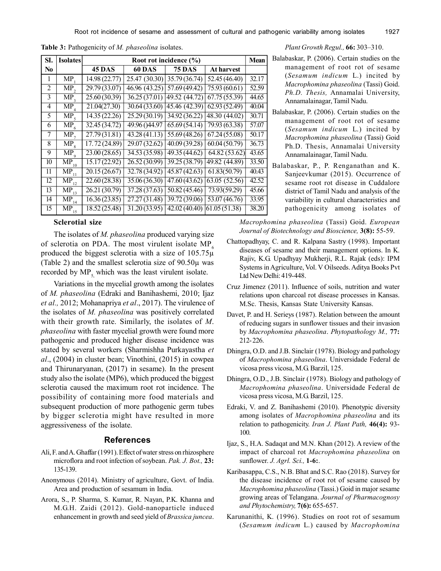| SI.            | <b>Isolates</b>                                     | Root rot incidence (%)    |                           |                           |                   |       |  |
|----------------|-----------------------------------------------------|---------------------------|---------------------------|---------------------------|-------------------|-------|--|
| No             |                                                     | 45 DAS                    | <b>60 DAS</b>             | <b>75 DAS</b>             | <b>At harvest</b> |       |  |
| 1              | MP                                                  | 14.98 (22.77)             | 25.47 (30.30)             | 35.79 (36.74)             | 52.45 (46.40)     | 32.17 |  |
| 2              | MP,                                                 | 29.79(33.07)              | 46.96 (43.25)             | 57.69 (49.42)             | 75.93(60.61)      | 52.59 |  |
| 3              | MP <sub>3</sub>                                     | 25.60(30.39)              | 36.25(37.01)              | 49.52 (44.72)             | 67.75(55.39)      | 44.65 |  |
| $\overline{4}$ | MP                                                  | 21.04(27.30)              | 30.64(33.60)              | 45.46 (42.39)             | 62.93(52.49)      | 40.04 |  |
| 5              | $\overline{\text{MP}}_5$                            | 14.35(22.26)              | 25.29(30.19)              | 34.92 (36.22)             | 48.30 (44.02)     | 30.71 |  |
| 6              | MP <sub>6</sub>                                     | 32.45(34.72)              | 49.96 () 44.97            | 65.69(54.14)              | 79.93(63.38)      | 57.07 |  |
| 7              | MP <sub>7</sub>                                     | 27.79(31.81)              | 43.28(41.13)              | 55.69(48.26)              | 67.24(55.08)      | 50.17 |  |
| 8              | $\overline{\text{MP}}_8$                            | $\overline{17.72(24.89)}$ | 29.07(32.62)              | $\overline{40.09(39.28)}$ | 60.04(50.79)      | 36.73 |  |
| 9              | MP <sub>q</sub>                                     | 23.00(28.65)              | 34.53(35.98)              | 49.35(44.62)              | 64.82(53.62)      | 43.65 |  |
| 10             | $\overline{\text{MP}}_{1\underline{0}}$             | 15.17(22.92)              | 26.52(30.99)              | 39.25 (38.79)             | 49.82 (44.89)     | 33.50 |  |
| 11             | $\overline{\text{MP}}_{\underline{1}\underline{1}}$ | 20.15(26.67)              | 32.78(34.92)              | 45.87(42.63)              | 61.83(50.79)      | 40.43 |  |
| 12             | $\overline{\text{MP}}_{12}$                         | 22.60(28.38)              | 35.06(36.30)              | 47.60(43.62)              | 63.05(52.56)      | 42.52 |  |
| 13             | $\overline{\text{MP}}_{13}$                         | 26.21(30.79)              | 37.28(37.63)              | 50.82(45.46)              | 73.93(59.29)      | 45.66 |  |
| 14             | $\overline{\text{MP}}_{\scriptscriptstyle{14}}$     | 16.36(23.85)              | 27.27(31.48)              | $\overline{39.72(39.06)}$ | 53.07(46.76)      | 33.95 |  |
| 15             | $\overline{\text{MP}}_{15}$                         | 18.52(25.48)              | $\overline{31.20(33.95)}$ | 42.02(40.40)              | 61.05(51.38)      | 38.20 |  |

**Table 3:** Pathogenicity of *M. phaseolina* isolates.

## **Sclerotial size**

The isolates of *M. phaseolina* produced varying size of sclerotia on PDA. The most virulent isolate  $MP_6$ produced the biggest sclerotia with a size of 105.75µ (Table 2) and the smallest sclerotia size of  $90.50\mu$  was recorded by  $MP_5$  which was the least virulent isolate.

Variations in the mycelial growth among the isolates of *M. phaseolina* (Edraki and Banihashemi, 2010; Ijaz *et al.,* 2012; Mohanapriya *et al*., 2017). The virulence of the isolates of *M. phaseolina* was positively correlated with their growth rate. Similarly, the isolates of *M*. *phaseolina* with faster mycelial growth were found more pathogenic and produced higher disease incidence was stated by several workers (Sharmishha Purkayastha *et al*., (2004) in cluster bean; Vinothini, (2015) in cowpea and Thirunaryanan, (2017) in sesame). In the present study also the isolate (MP6), which produced the biggest sclerotia caused the maximum root rot incidence. The possibility of containing more food materials and subsequent production of more pathogenic germ tubes by bigger sclerotia might have resulted in more aggressiveness of the isolate.

## **References**

- Ali, F. and A. Ghaffar (1991). Effect of water stress on rhizosphere microflora and root infection of soybean. *Pak. J. Bot.,* **23:** 135-139.
- Anonymous (2014). Ministry of agriculture, Govt. of India. Area and production of sesamum in India.
- Arora, S., P. Sharma, S. Kumar, R. Nayan, P.K. Khanna and M.G.H. Zaidi (2012). Gold-nanoparticle induced enhancement in growth and seed yield of *Brassica juncea*.

#### *Plant Growth Regul.,* **66:** 303–310.

- Balabaskar, P. (2006). Certain studies on the management of root rot of sesame (*Sesamum indicum* L.) incited by *Macrophomina phaseolina* (Tassi) Goid. *Ph.D. Thesis,* Annamalai University, Annamalainagar, Tamil Nadu.
- Balabaskar, P. (2006). Certain studies on the management of root rot of sesame (*Sesamum indicum* L.) incited by *Macrophomina phaseolina* (Tassi) Goid Ph.D. Thesis, Annamalai University Annamalainagar, Tamil Nadu.
- Balabaskar, P., P. Renganathan and K. Sanjeevkumar (2015). Occurrence of sesame root rot disease in Cuddalore district of Tamil Nadu and analysis of the variability in cultural characteristics and pathogenicity among isolates of

*Macrophomina phaseolina* (Tassi) Goid. *European Journal of Biotechnology and Bioscience,* **3(8):** 55-59.

- Chattopadhyay, C. and R. Kalpana Sastry (1998). Important diseases of sesame and their management options. In K. Rajiv, K.G. Upadhyay Mukherji, R.L. Rajak (eds): IPM Systems in Agriculture, Vol. V Oilseeds. Aditya Books Pvt Ltd New Delhi: 419-448.
- Cruz Jimenez (2011). Influence of soils, nutrition and water relations upon charcoal rot disease processes in Kansas. M.Sc. Thesis, Kansas State University Kansas.
- Davet, P. and H. Serieys (1987). Relation between the amount of reducing sugars in sunflower tissues and their invasion by *Macrophomina phaseolina*. *Phytopathology M.,* **77:** 212- 226.
- Dhingra, O.D. and J.B. Sinclair (1978). Biology and pathology of *Macrophomina phaseolina*. Universidade Federal de vicosa press vicosa, M.G. Barzil, 125.
- Dhingra, O.D., J.B. Sinclair (1978). Biology and pathology of *Macrophomina phaseolina*. Universidade Federal de vicosa press vicosa, M.G. Barzil, 125.
- Edraki, V. and Z. Banihashemi (2010). Phenotypic diversity among isolates of *Macrophomina phaseolina* and its relation to pathogenicity. *Iran J. Plant Path,* **46(4):** 93- 100.
- Ijaz, S., H.A. Sadaqat and M.N. Khan (2012). A review of the impact of charcoal rot *Macrophomina phaseolina* on sunflower. *J. Agrl. Sci.,* **1-6:**.
- Karibasappa, C.S., N.B. Bhat and S.C. Rao (2018). Survey for the disease incidence of root rot of sesame caused by *Macrophomina phaseolina* (Tassi.) Goid in major sesame growing areas of Telangana. *Journal of Pharmacognosy and Phytochemistry,* **7(6):** 655-657.
- Karunanithi, K. (1996). Studies on root rot of sesamum (*Sesamum indicum* L.) caused by *Macrophomina*